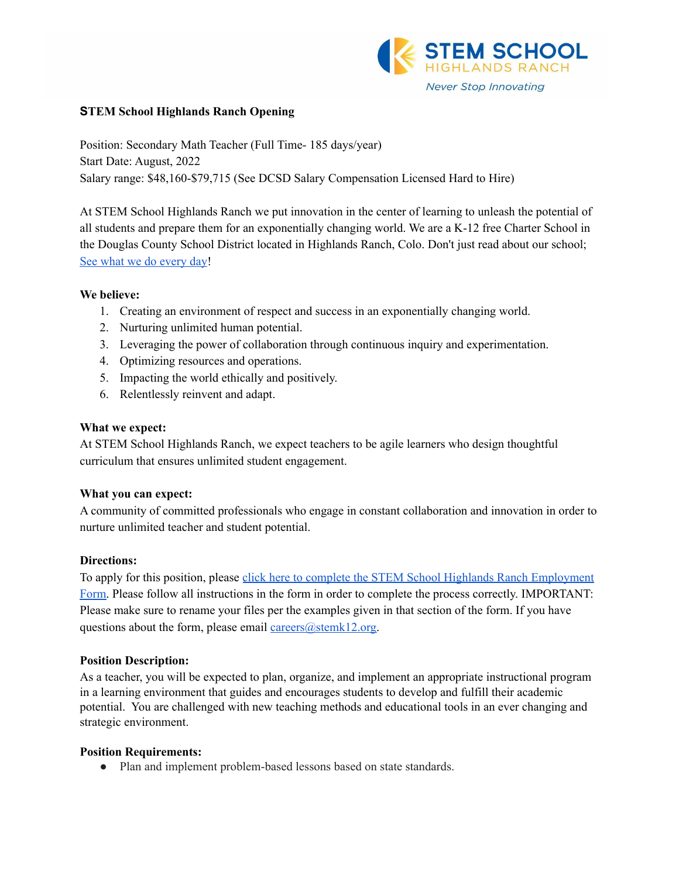

# **STEM School Highlands Ranch Opening**

Position: Secondary Math Teacher (Full Time- 185 days/year) Start Date: August, 2022 Salary range: \$48,160-\$79,715 (See DCSD Salary Compensation Licensed Hard to Hire)

At STEM School Highlands Ranch we put innovation in the center of learning to unleash the potential of all students and prepare them for an exponentially changing world. We are a K-12 free Charter School in the Douglas County School District located in Highlands Ranch, Colo. Don't just read about our school; See what we do [every](https://www.youtube.com/channel/UCEjas5mnML_7D6bnjE6cBXQ) day!

# **We believe:**

- 1. Creating an environment of respect and success in an exponentially changing world.
- 2. Nurturing unlimited human potential.
- 3. Leveraging the power of collaboration through continuous inquiry and experimentation.
- 4. Optimizing resources and operations.
- 5. Impacting the world ethically and positively.
- 6. Relentlessly reinvent and adapt.

# **What we expect:**

At STEM School Highlands Ranch, we expect teachers to be agile learners who design thoughtful curriculum that ensures unlimited student engagement.

# **What you can expect:**

A community of committed professionals who engage in constant collaboration and innovation in order to nurture unlimited teacher and student potential.

# **Directions:**

To apply for this position, please click here to complete the STEM School Highlands Ranch [Employment](https://docs.google.com/forms/d/e/1FAIpQLSfix8N5Y4r8UN-EoNntuUI_3ZGfalCIW_KiKAja-s9jkUit8g/viewform?usp=sf_link) [Form.](https://docs.google.com/forms/d/e/1FAIpQLSfix8N5Y4r8UN-EoNntuUI_3ZGfalCIW_KiKAja-s9jkUit8g/viewform?usp=sf_link) Please follow all instructions in the form in order to complete the process correctly. IMPORTANT: Please make sure to rename your files per the examples given in that section of the form. If you have questions about the form, please email careers $@$ stemk12.org.

#### **Position Description:**

As a teacher, you will be expected to plan, organize, and implement an appropriate instructional program in a learning environment that guides and encourages students to develop and fulfill their academic potential. You are challenged with new teaching methods and educational tools in an ever changing and strategic environment.

#### **Position Requirements:**

• Plan and implement problem-based lessons based on state standards.